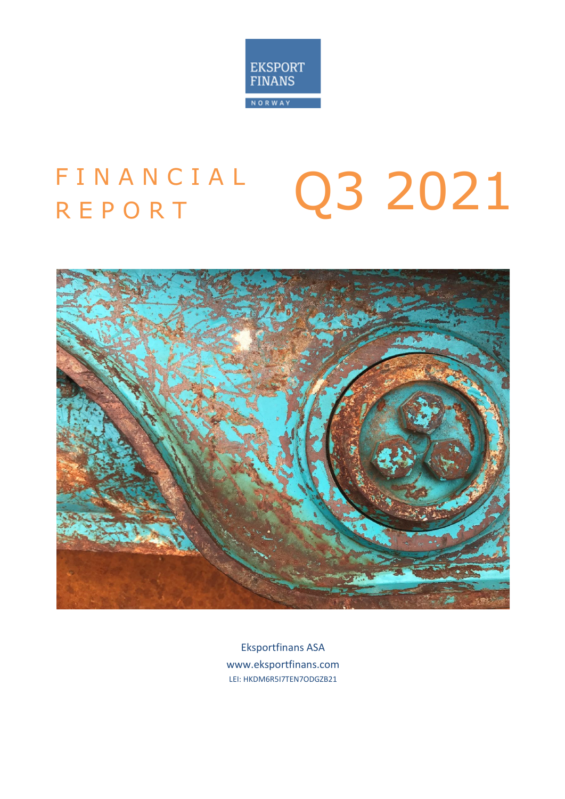

# FINANCIAL Q3 2021 R E P O R T



Eksportfinans ASA www.eksportfinans.com LEI: HKDM6R5I7TEN7ODGZB21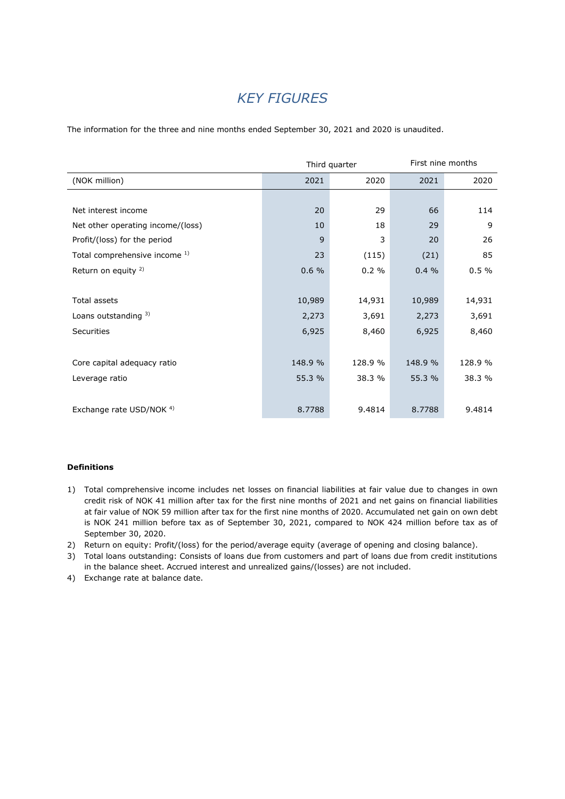### *KEY FIGURES*

The information for the three and nine months ended September 30, 2021 and 2020 is unaudited.

|                                          |         | Third quarter | First nine months |         |  |
|------------------------------------------|---------|---------------|-------------------|---------|--|
| (NOK million)                            | 2021    | 2020          | 2021              | 2020    |  |
|                                          |         |               |                   |         |  |
| Net interest income                      | 20      | 29            | 66                | 114     |  |
| Net other operating income/(loss)        | 10      | 18            | 29                | 9       |  |
| Profit/(loss) for the period             | 9       | 3             | 20                | 26      |  |
| Total comprehensive income <sup>1)</sup> | 23      | (115)         | (21)              | 85      |  |
| Return on equity <sup>2)</sup>           | 0.6%    | 0.2%          | 0.4%              | 0.5%    |  |
|                                          |         |               |                   |         |  |
| Total assets                             | 10,989  | 14,931        | 10,989            | 14,931  |  |
| Loans outstanding 3)                     | 2,273   | 3,691         | 2,273             | 3,691   |  |
| <b>Securities</b>                        | 6,925   | 8,460         | 6,925             | 8,460   |  |
|                                          |         |               |                   |         |  |
| Core capital adequacy ratio              | 148.9 % | 128.9 %       | 148.9 %           | 128.9 % |  |
| Leverage ratio                           | 55.3 %  | 38.3 %        | 55.3 %            | 38.3 %  |  |
|                                          |         |               |                   |         |  |
| Exchange rate USD/NOK <sup>4)</sup>      | 8.7788  | 9.4814        | 8.7788            | 9.4814  |  |

#### **Definitions**

- 1) Total comprehensive income includes net losses on financial liabilities at fair value due to changes in own credit risk of NOK 41 million after tax for the first nine months of 2021 and net gains on financial liabilities at fair value of NOK 59 million after tax for the first nine months of 2020. Accumulated net gain on own debt is NOK 241 million before tax as of September 30, 2021, compared to NOK 424 million before tax as of September 30, 2020.
- 2) Return on equity: Profit/(loss) for the period/average equity (average of opening and closing balance).
- 3) Total loans outstanding: Consists of loans due from customers and part of loans due from credit institutions in the balance sheet. Accrued interest and unrealized gains/(losses) are not included.
- 4) Exchange rate at balance date.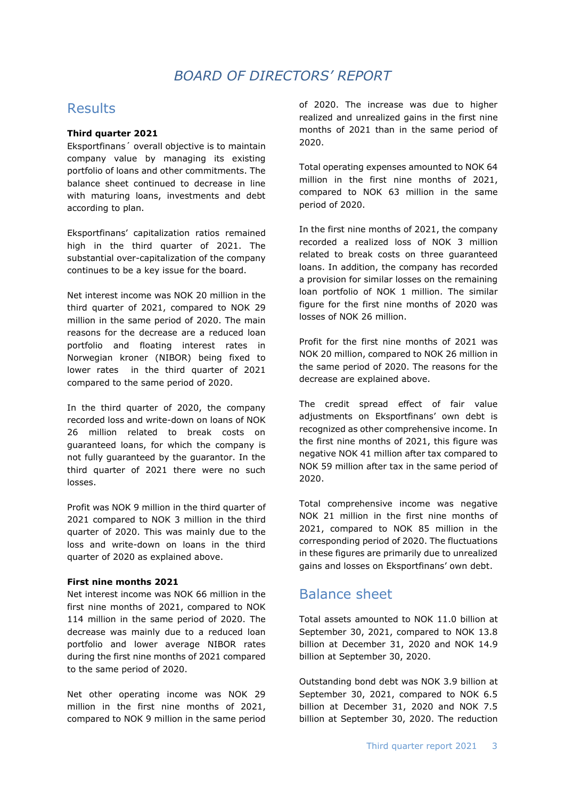### *BOARD OF DIRECTORS' REPORT*

### **Results**

#### **Third quarter 2021**

Eksportfinans´ overall objective is to maintain company value by managing its existing portfolio of loans and other commitments. The balance sheet continued to decrease in line with maturing loans, investments and debt according to plan.

Eksportfinans' capitalization ratios remained high in the third quarter of 2021. The substantial over-capitalization of the company continues to be a key issue for the board.

Net interest income was NOK 20 million in the third quarter of 2021, compared to NOK 29 million in the same period of 2020. The main reasons for the decrease are a reduced loan portfolio and floating interest rates in Norwegian kroner (NIBOR) being fixed to lower rates in the third quarter of 2021 compared to the same period of 2020.

In the third quarter of 2020, the company recorded loss and write-down on loans of NOK 26 million related to break costs on guaranteed loans, for which the company is not fully guaranteed by the guarantor. In the third quarter of 2021 there were no such losses.

Profit was NOK 9 million in the third quarter of 2021 compared to NOK 3 million in the third quarter of 2020. This was mainly due to the loss and write-down on loans in the third quarter of 2020 as explained above.

#### **First nine months 2021**

Net interest income was NOK 66 million in the first nine months of 2021, compared to NOK 114 million in the same period of 2020. The decrease was mainly due to a reduced loan portfolio and lower average NIBOR rates during the first nine months of 2021 compared to the same period of 2020.

Net other operating income was NOK 29 million in the first nine months of 2021, compared to NOK 9 million in the same period of 2020. The increase was due to higher realized and unrealized gains in the first nine months of 2021 than in the same period of 2020.

Total operating expenses amounted to NOK 64 million in the first nine months of 2021, compared to NOK 63 million in the same period of 2020.

In the first nine months of 2021, the company recorded a realized loss of NOK 3 million related to break costs on three guaranteed loans. In addition, the company has recorded a provision for similar losses on the remaining loan portfolio of NOK 1 million. The similar figure for the first nine months of 2020 was losses of NOK 26 million.

Profit for the first nine months of 2021 was NOK 20 million, compared to NOK 26 million in the same period of 2020. The reasons for the decrease are explained above.

The credit spread effect of fair value adjustments on Eksportfinans' own debt is recognized as other comprehensive income. In the first nine months of 2021, this figure was negative NOK 41 million after tax compared to NOK 59 million after tax in the same period of 2020.

Total comprehensive income was negative NOK 21 million in the first nine months of 2021, compared to NOK 85 million in the corresponding period of 2020. The fluctuations in these figures are primarily due to unrealized gains and losses on Eksportfinans' own debt.

### Balance sheet

Total assets amounted to NOK 11.0 billion at September 30, 2021, compared to NOK 13.8 billion at December 31, 2020 and NOK 14.9 billion at September 30, 2020.

Outstanding bond debt was NOK 3.9 billion at September 30, 2021, compared to NOK 6.5 billion at December 31, 2020 and NOK 7.5 billion at September 30, 2020. The reduction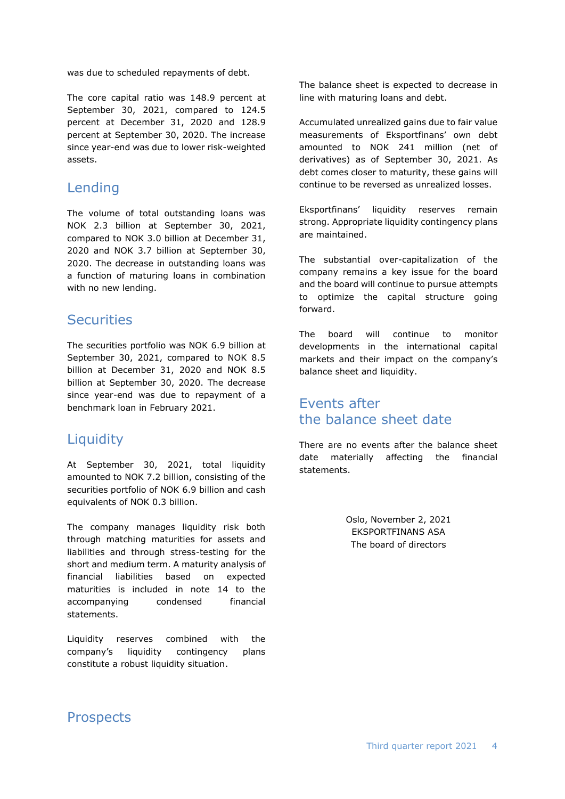was due to scheduled repayments of debt.

The core capital ratio was 148.9 percent at September 30, 2021, compared to 124.5 percent at December 31, 2020 and 128.9 percent at September 30, 2020. The increase since year-end was due to lower risk-weighted assets.

### Lending

The volume of total outstanding loans was NOK 2.3 billion at September 30, 2021, compared to NOK 3.0 billion at December 31, 2020 and NOK 3.7 billion at September 30, 2020. The decrease in outstanding loans was a function of maturing loans in combination with no new lending.

### **Securities**

The securities portfolio was NOK 6.9 billion at September 30, 2021, compared to NOK 8.5 billion at December 31, 2020 and NOK 8.5 billion at September 30, 2020. The decrease since year-end was due to repayment of a benchmark loan in February 2021.

### **Liquidity**

At September 30, 2021, total liquidity amounted to NOK 7.2 billion, consisting of the securities portfolio of NOK 6.9 billion and cash equivalents of NOK 0.3 billion.

The company manages liquidity risk both through matching maturities for assets and liabilities and through stress-testing for the short and medium term. A maturity analysis of financial liabilities based on expected maturities is included in note 14 to the accompanying condensed financial statements.

Liquidity reserves combined with the company's liquidity contingency plans constitute a robust liquidity situation.

The balance sheet is expected to decrease in line with maturing loans and debt.

Accumulated unrealized gains due to fair value measurements of Eksportfinans' own debt amounted to NOK 241 million (net of derivatives) as of September 30, 2021. As debt comes closer to maturity, these gains will continue to be reversed as unrealized losses.

Eksportfinans' liquidity reserves remain strong. Appropriate liquidity contingency plans are maintained.

The substantial over-capitalization of the company remains a key issue for the board and the board will continue to pursue attempts to optimize the capital structure going forward.

The board will continue to monitor developments in the international capital markets and their impact on the company's balance sheet and liquidity.

### Events after the balance sheet date

There are no events after the balance sheet date materially affecting the financial statements.

> Oslo, November 2, 2021 EKSPORTFINANS ASA The board of directors

### **Prospects**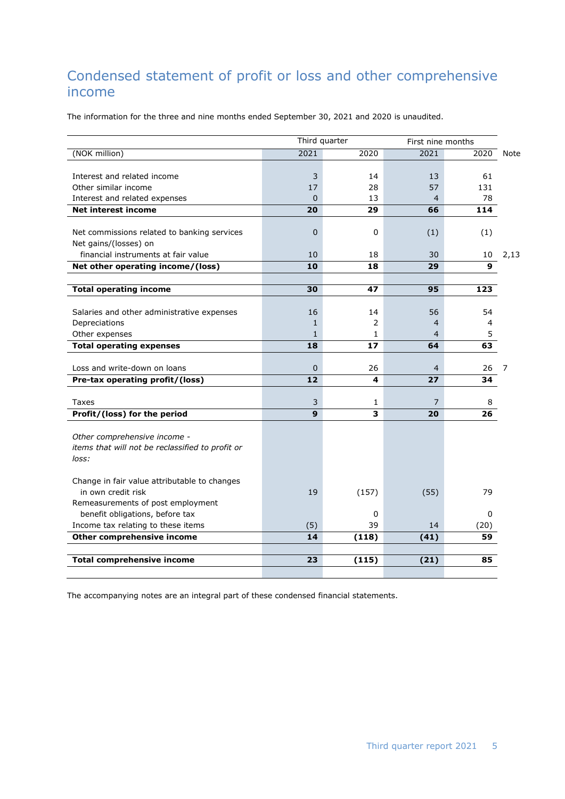# Condensed statement of profit or loss and other comprehensive income

The information for the three and nine months ended September 30, 2021 and 2020 is unaudited.

|                                                             |                    | Third quarter           | First nine months    |              |      |  |
|-------------------------------------------------------------|--------------------|-------------------------|----------------------|--------------|------|--|
| (NOK million)                                               | 2021               | 2020                    | 2021                 | 2020         | Note |  |
|                                                             |                    |                         |                      |              |      |  |
| Interest and related income                                 | 3                  | 14                      | 13                   | 61           |      |  |
| Other similar income                                        | 17                 | 28                      | 57                   | 131          |      |  |
| Interest and related expenses<br><b>Net interest income</b> | $\mathbf{0}$<br>20 | 13<br>29                | $\overline{4}$<br>66 | 78<br>114    |      |  |
|                                                             |                    |                         |                      |              |      |  |
| Net commissions related to banking services                 | 0                  | 0                       | (1)                  | (1)          |      |  |
| Net gains/(losses) on                                       |                    |                         |                      |              |      |  |
| financial instruments at fair value                         | 10                 | 18                      | 30                   | 10           | 2,13 |  |
| Net other operating income/(loss)                           | 10                 | 18                      | 29                   | $\mathbf{9}$ |      |  |
|                                                             |                    |                         |                      |              |      |  |
| <b>Total operating income</b>                               | 30                 | 47                      | 95                   | 123          |      |  |
| Salaries and other administrative expenses                  | 16                 | 14                      | 56                   | 54           |      |  |
| Depreciations                                               | $\mathbf{1}$       | 2                       | 4                    | 4            |      |  |
| Other expenses                                              | $\mathbf{1}$       | 1                       | 4                    | 5            |      |  |
| <b>Total operating expenses</b>                             | 18                 | 17                      | 64                   | 63           |      |  |
|                                                             |                    |                         |                      |              |      |  |
| Loss and write-down on loans                                | 0                  | 26                      | 4                    | 26           | 7    |  |
| Pre-tax operating profit/(loss)                             | 12                 | 4                       | 27                   | 34           |      |  |
| Taxes                                                       | 3                  | 1                       | 7                    | 8            |      |  |
| Profit/(loss) for the period                                | $\mathbf{9}$       | $\overline{\mathbf{3}}$ | 20                   | 26           |      |  |
|                                                             |                    |                         |                      |              |      |  |
| Other comprehensive income -                                |                    |                         |                      |              |      |  |
| items that will not be reclassified to profit or            |                    |                         |                      |              |      |  |
| loss:                                                       |                    |                         |                      |              |      |  |
| Change in fair value attributable to changes                |                    |                         |                      |              |      |  |
| in own credit risk                                          | 19                 | (157)                   | (55)                 | 79           |      |  |
| Remeasurements of post employment                           |                    |                         |                      |              |      |  |
| benefit obligations, before tax                             |                    | 0                       |                      | 0            |      |  |
| Income tax relating to these items                          | (5)                | 39                      | 14                   | (20)         |      |  |
| Other comprehensive income                                  | 14                 | (118)                   | (41)                 | 59           |      |  |
|                                                             |                    |                         |                      |              |      |  |
| <b>Total comprehensive income</b>                           | 23                 | (115)                   | (21)                 | 85           |      |  |
|                                                             |                    |                         |                      |              |      |  |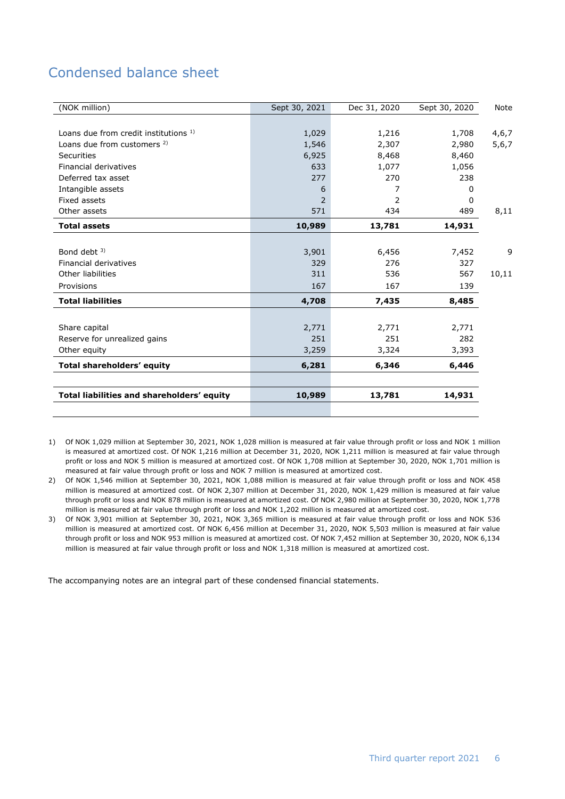### Condensed balance sheet

| (NOK million)                              | Sept 30, 2021 | Dec 31, 2020 | Sept 30, 2020 | <b>Note</b> |
|--------------------------------------------|---------------|--------------|---------------|-------------|
|                                            |               |              |               |             |
| Loans due from credit institutions 1)      | 1,029         | 1,216        | 1,708         | 4,6,7       |
| Loans due from customers <sup>2)</sup>     | 1,546         | 2,307        | 2,980         | 5,6,7       |
| Securities                                 | 6,925         | 8,468        | 8,460         |             |
| Financial derivatives                      | 633           | 1,077        | 1,056         |             |
| Deferred tax asset                         | 277           | 270          | 238           |             |
| Intangible assets                          | 6             | 7            | 0             |             |
| Fixed assets                               | 2             | 2            | 0             |             |
| Other assets                               | 571           | 434          | 489           | 8,11        |
| <b>Total assets</b>                        | 10,989        | 13,781       | 14,931        |             |
|                                            |               |              |               |             |
| Bond debt $3$ )                            | 3,901         | 6,456        | 7,452         | 9           |
| Financial derivatives                      | 329           | 276          | 327           |             |
| Other liabilities                          | 311           | 536          | 567           | 10,11       |
| Provisions                                 | 167           | 167          | 139           |             |
| <b>Total liabilities</b>                   | 4,708         | 7,435        | 8,485         |             |
|                                            |               |              |               |             |
| Share capital                              | 2,771         | 2,771        | 2,771         |             |
| Reserve for unrealized gains               | 251           | 251          | 282           |             |
| Other equity                               | 3,259         | 3,324        | 3,393         |             |
| Total shareholders' equity                 | 6,281         | 6,346        | 6,446         |             |
|                                            |               |              |               |             |
| Total liabilities and shareholders' equity | 10,989        | 13,781       | 14,931        |             |
|                                            |               |              |               |             |

1) Of NOK 1,029 million at September 30, 2021, NOK 1,028 million is measured at fair value through profit or loss and NOK 1 million is measured at amortized cost. Of NOK 1,216 million at December 31, 2020, NOK 1,211 million is measured at fair value through profit or loss and NOK 5 million is measured at amortized cost. Of NOK 1,708 million at September 30, 2020, NOK 1,701 million is measured at fair value through profit or loss and NOK 7 million is measured at amortized cost.

2) Of NOK 1,546 million at September 30, 2021, NOK 1,088 million is measured at fair value through profit or loss and NOK 458 million is measured at amortized cost. Of NOK 2,307 million at December 31, 2020, NOK 1,429 million is measured at fair value through profit or loss and NOK 878 million is measured at amortized cost. Of NOK 2,980 million at September 30, 2020, NOK 1,778 million is measured at fair value through profit or loss and NOK 1,202 million is measured at amortized cost.

3) Of NOK 3,901 million at September 30, 2021, NOK 3,365 million is measured at fair value through profit or loss and NOK 536 million is measured at amortized cost. Of NOK 6,456 million at December 31, 2020, NOK 5,503 million is measured at fair value through profit or loss and NOK 953 million is measured at amortized cost. Of NOK 7,452 million at September 30, 2020, NOK 6,134 million is measured at fair value through profit or loss and NOK 1,318 million is measured at amortized cost.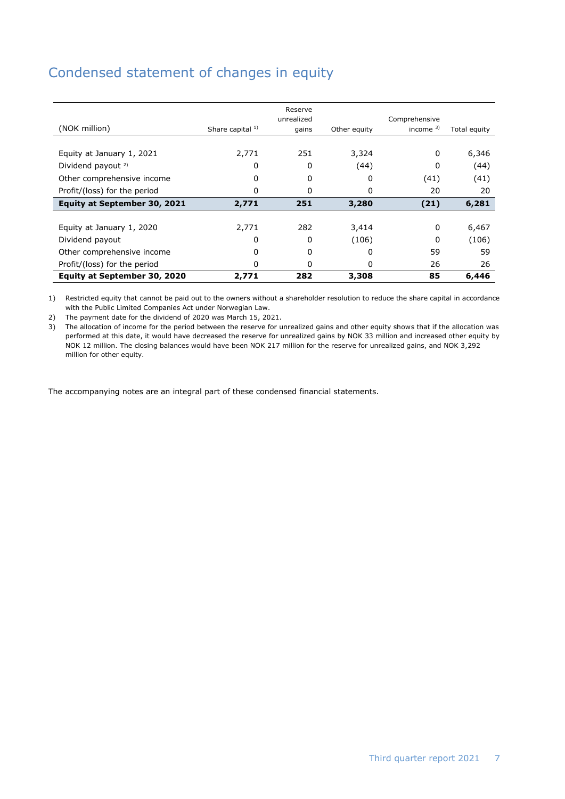# Condensed statement of changes in equity

| (NOK million)                 | Share capital 1) | Reserve<br>unrealized<br>gains | Other equity | Comprehensive<br>income $3$ ) | Total equity |
|-------------------------------|------------------|--------------------------------|--------------|-------------------------------|--------------|
|                               |                  |                                |              |                               |              |
| Equity at January 1, 2021     | 2,771            | 251                            | 3,324        | 0                             | 6,346        |
| Dividend payout <sup>2)</sup> | 0                | 0                              | (44)         | <sup>0</sup>                  | (44)         |
| Other comprehensive income    | 0                | 0                              | 0            | (41)                          | (41)         |
| Profit/(loss) for the period  | 0                | 0                              | 0            | 20                            | 20           |
| Equity at September 30, 2021  | 2,771            | 251                            | 3,280        | (21)                          | 6,281        |
|                               |                  |                                |              |                               |              |
| Equity at January 1, 2020     | 2,771            | 282                            | 3,414        | 0                             | 6,467        |
| Dividend payout               | O                | 0                              | (106)        | 0                             | (106)        |
| Other comprehensive income    | $\Omega$         | 0                              | 0            | 59                            | 59           |
| Profit/(loss) for the period  | 0                | 0                              | 0            | 26                            | 26           |
| Equity at September 30, 2020  | 2,771            | 282                            | 3,308        | 85                            | 6,446        |

1) Restricted equity that cannot be paid out to the owners without a shareholder resolution to reduce the share capital in accordance with the Public Limited Companies Act under Norwegian Law.

2) The payment date for the dividend of 2020 was March 15, 2021.

3) The allocation of income for the period between the reserve for unrealized gains and other equity shows that if the allocation was performed at this date, it would have decreased the reserve for unrealized gains by NOK 33 million and increased other equity by NOK 12 million. The closing balances would have been NOK 217 million for the reserve for unrealized gains, and NOK 3,292 million for other equity.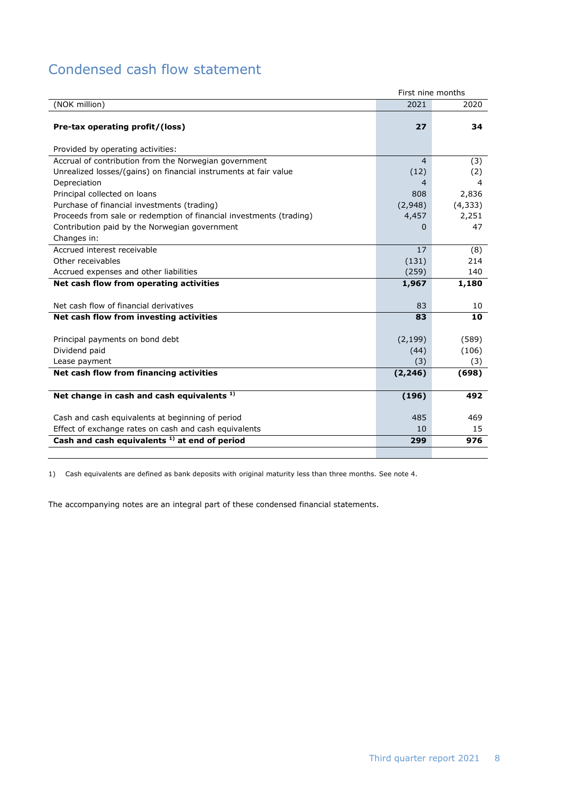### Condensed cash flow statement

| First nine months                                                   |                |          |  |  |
|---------------------------------------------------------------------|----------------|----------|--|--|
| (NOK million)                                                       | 2021           | 2020     |  |  |
| Pre-tax operating profit/(loss)                                     | 27             | 34       |  |  |
| Provided by operating activities:                                   |                |          |  |  |
| Accrual of contribution from the Norwegian government               | $\overline{4}$ | (3)      |  |  |
| Unrealized losses/(gains) on financial instruments at fair value    | (12)           | (2)      |  |  |
| Depreciation                                                        | 4              | 4        |  |  |
| Principal collected on loans                                        | 808            | 2,836    |  |  |
| Purchase of financial investments (trading)                         | (2,948)        | (4, 333) |  |  |
| Proceeds from sale or redemption of financial investments (trading) | 4,457          | 2,251    |  |  |
| Contribution paid by the Norwegian government                       | <sup>0</sup>   | 47       |  |  |
| Changes in:                                                         |                |          |  |  |
| Accrued interest receivable                                         | 17             | (8)      |  |  |
| Other receivables                                                   | (131)          | 214      |  |  |
| Accrued expenses and other liabilities                              | (259)          | 140      |  |  |
| Net cash flow from operating activities                             | 1,967          | 1,180    |  |  |
|                                                                     |                |          |  |  |
| Net cash flow of financial derivatives                              | 83             | 10       |  |  |
| Net cash flow from investing activities                             | 83             | 10       |  |  |
| Principal payments on bond debt                                     | (2, 199)       | (589)    |  |  |
| Dividend paid                                                       | (44)           | (106)    |  |  |
| Lease payment                                                       | (3)            | (3)      |  |  |
| Net cash flow from financing activities                             | (2, 246)       | (698)    |  |  |
|                                                                     |                |          |  |  |
| Net change in cash and cash equivalents <sup>1)</sup>               | (196)          | 492      |  |  |
| Cash and cash equivalents at beginning of period                    | 485            | 469      |  |  |
| Effect of exchange rates on cash and cash equivalents               | 10             | 15       |  |  |
| Cash and cash equivalents <sup>1)</sup> at end of period            | 299            | 976      |  |  |
|                                                                     |                |          |  |  |

1) Cash equivalents are defined as bank deposits with original maturity less than three months. See note 4.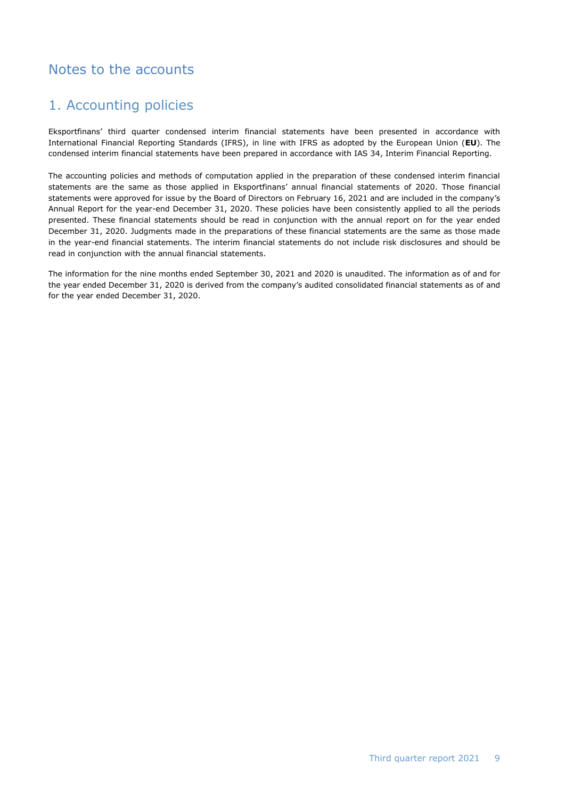### Notes to the accounts

### 1. Accounting policies

Eksportfinans' third quarter condensed interim financial statements have been presented in accordance with International Financial Reporting Standards (IFRS), in line with IFRS as adopted by the European Union (**EU**). The condensed interim financial statements have been prepared in accordance with IAS 34, Interim Financial Reporting.

The accounting policies and methods of computation applied in the preparation of these condensed interim financial statements are the same as those applied in Eksportfinans' annual financial statements of 2020. Those financial statements were approved for issue by the Board of Directors on February 16, 2021 and are included in the company's Annual Report for the year-end December 31, 2020. These policies have been consistently applied to all the periods presented. These financial statements should be read in conjunction with the annual report on for the year ended December 31, 2020. Judgments made in the preparations of these financial statements are the same as those made in the year-end financial statements. The interim financial statements do not include risk disclosures and should be read in conjunction with the annual financial statements.

The information for the nine months ended September 30, 2021 and 2020 is unaudited. The information as of and for the year ended December 31, 2020 is derived from the company's audited consolidated financial statements as of and for the year ended December 31, 2020.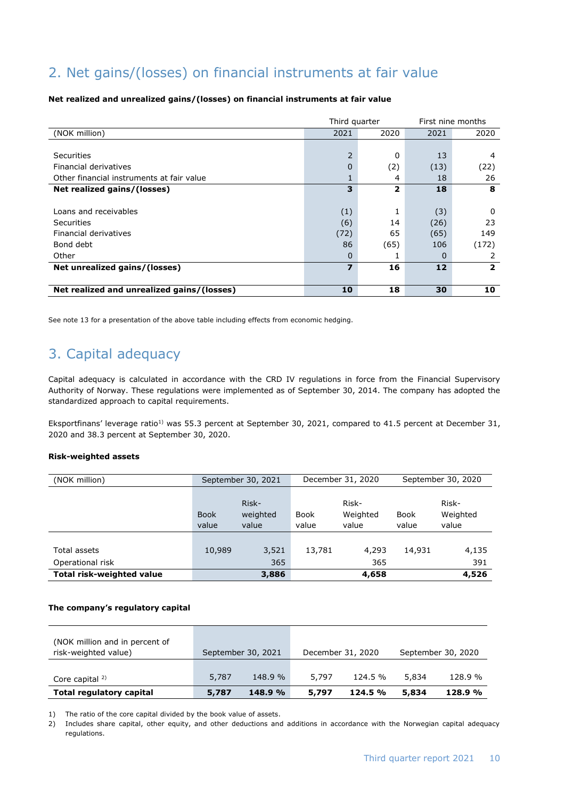# 2. Net gains/(losses) on financial instruments at fair value

|                                            | Third quarter  |      | First nine months |              |
|--------------------------------------------|----------------|------|-------------------|--------------|
| (NOK million)                              | 2021           | 2020 | 2021              | 2020         |
|                                            |                |      |                   |              |
| Securities                                 |                | 0    | 13                | 4            |
| Financial derivatives                      | 0              | (2)  | (13)              | (22)         |
| Other financial instruments at fair value  |                | 4    | 18                | 26           |
| Net realized gains/(losses)                | 3              | 2    | 18                | 8            |
|                                            |                |      |                   |              |
| Loans and receivables                      | (1)            |      | (3)               | <sup>0</sup> |
| Securities                                 | (6)            | 14   | (26)              | 23           |
| Financial derivatives                      | (72)           | 65   | (65)              | 149          |
| Bond debt                                  | 86             | (65) | 106               | (172)        |
| Other                                      | 0              |      | 0                 |              |
| Net unrealized gains/(losses)              | $\overline{ }$ | 16   | 12                | 2            |
|                                            |                |      |                   |              |
| Net realized and unrealized gains/(losses) | 10             | 18   | 30                | 10           |

#### **Net realized and unrealized gains/(losses) on financial instruments at fair value**

See note 13 for a presentation of the above table including effects from economic hedging.

# 3. Capital adequacy

Capital adequacy is calculated in accordance with the CRD IV regulations in force from the Financial Supervisory Authority of Norway. These regulations were implemented as of September 30, 2014. The company has adopted the standardized approach to capital requirements.

Eksportfinans' leverage ratio<sup>1)</sup> was 55.3 percent at September 30, 2021, compared to 41.5 percent at December 31, 2020 and 38.3 percent at September 30, 2020.

#### **Risk-weighted assets**

| (NOK million)                    |                      | September 30, 2021         | December 31, 2020 |                            |                      | September 30, 2020         |  |
|----------------------------------|----------------------|----------------------------|-------------------|----------------------------|----------------------|----------------------------|--|
|                                  | <b>Book</b><br>value | Risk-<br>weighted<br>value | Book<br>value     | Risk-<br>Weighted<br>value | <b>Book</b><br>value | Risk-<br>Weighted<br>value |  |
| Total assets<br>Operational risk | 10,989               | 3,521<br>365               | 13,781            | 4,293<br>365               | 14,931               | 4,135<br>391               |  |
| <b>Total risk-weighted value</b> |                      | 3,886                      |                   | 4,658                      |                      | 4,526                      |  |

#### **The company's regulatory capital**

| (NOK million and in percent of<br>risk-weighted value) |       | September 30, 2021 | December 31, 2020 |         |       | September 30, 2020 |
|--------------------------------------------------------|-------|--------------------|-------------------|---------|-------|--------------------|
| Core capital $2$ )                                     | 5,787 | 148.9 %            | 5,797             | 124.5 % | 5.834 | 128.9 %            |
| Total regulatory capital                               | 5,787 | 148.9 %            | 5,797             | 124.5%  | 5,834 | 128.9%             |

1) The ratio of the core capital divided by the book value of assets.

2) Includes share capital, other equity, and other deductions and additions in accordance with the Norwegian capital adequacy regulations.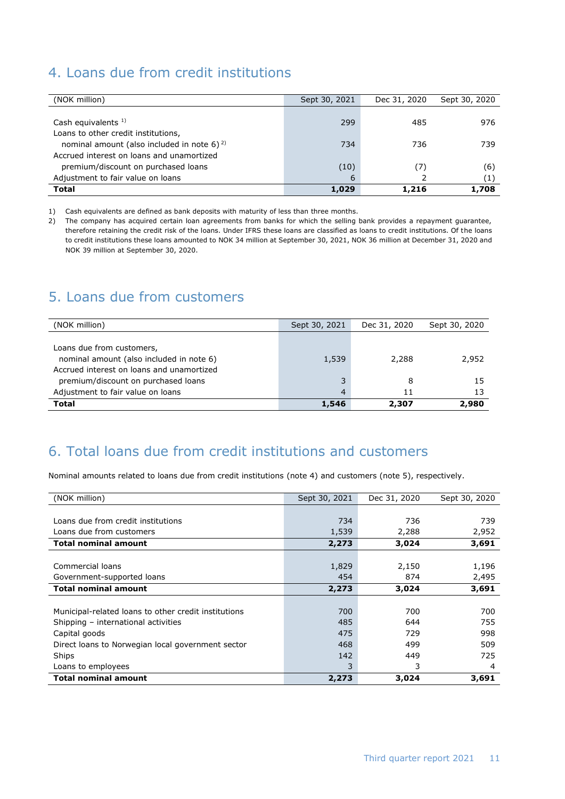# 4. Loans due from credit institutions

| (NOK million)                                     | Sept 30, 2021 | Dec 31, 2020 | Sept 30, 2020 |
|---------------------------------------------------|---------------|--------------|---------------|
| Cash equivalents <sup>1)</sup>                    | 299           | 485          | 976           |
| Loans to other credit institutions,               |               |              |               |
| nominal amount (also included in note 6) $^{2}$ ) | 734           | 736          | 739           |
| Accrued interest on loans and unamortized         |               |              |               |
| premium/discount on purchased loans               | (10)          | (7)          | (6)           |
| Adjustment to fair value on loans                 | 6             |              | (1)           |
| <b>Total</b>                                      | 1,029         | 1,216        | 1,708         |

1) Cash equivalents are defined as bank deposits with maturity of less than three months.

2) The company has acquired certain loan agreements from banks for which the selling bank provides a repayment guarantee, therefore retaining the credit risk of the loans. Under IFRS these loans are classified as loans to credit institutions. Of the loans to credit institutions these loans amounted to NOK 34 million at September 30, 2021, NOK 36 million at December 31, 2020 and NOK 39 million at September 30, 2020.

# 5. Loans due from customers

| (NOK million)                                                                         | Sept 30, 2021  | Dec 31, 2020 | Sept 30, 2020 |
|---------------------------------------------------------------------------------------|----------------|--------------|---------------|
| Loans due from customers,                                                             |                |              |               |
| nominal amount (also included in note 6)<br>Accrued interest on loans and unamortized | 1,539          | 2,288        | 2,952         |
| premium/discount on purchased loans                                                   | 3              | 8            | 15            |
| Adjustment to fair value on loans                                                     | $\overline{4}$ |              | 13            |
| <b>Total</b>                                                                          | 1,546          | 2,307        | 2,980         |

### 6. Total loans due from credit institutions and customers

Nominal amounts related to loans due from credit institutions (note 4) and customers (note 5), respectively.

| (NOK million)                                        | Sept 30, 2021 | Dec 31, 2020 | Sept 30, 2020 |
|------------------------------------------------------|---------------|--------------|---------------|
|                                                      |               |              |               |
| Loans due from credit institutions                   | 734           | 736          | 739           |
| Loans due from customers                             | 1,539         | 2,288        | 2,952         |
| <b>Total nominal amount</b>                          | 2,273         | 3,024        | 3,691         |
|                                                      |               |              |               |
| Commercial loans                                     | 1,829         | 2,150        | 1,196         |
| Government-supported loans                           | 454           | 874          | 2,495         |
| <b>Total nominal amount</b>                          | 2,273         | 3,024        | 3,691         |
|                                                      |               |              |               |
| Municipal-related loans to other credit institutions | 700           | 700          | 700           |
| Shipping - international activities                  | 485           | 644          | 755           |
| Capital goods                                        | 475           | 729          | 998           |
| Direct loans to Norwegian local government sector    | 468           | 499          | 509           |
| Ships                                                | 142           | 449          | 725           |
| Loans to employees                                   | 3             | 3            | 4             |
| <b>Total nominal amount</b>                          | 2,273         | 3,024        | 3,691         |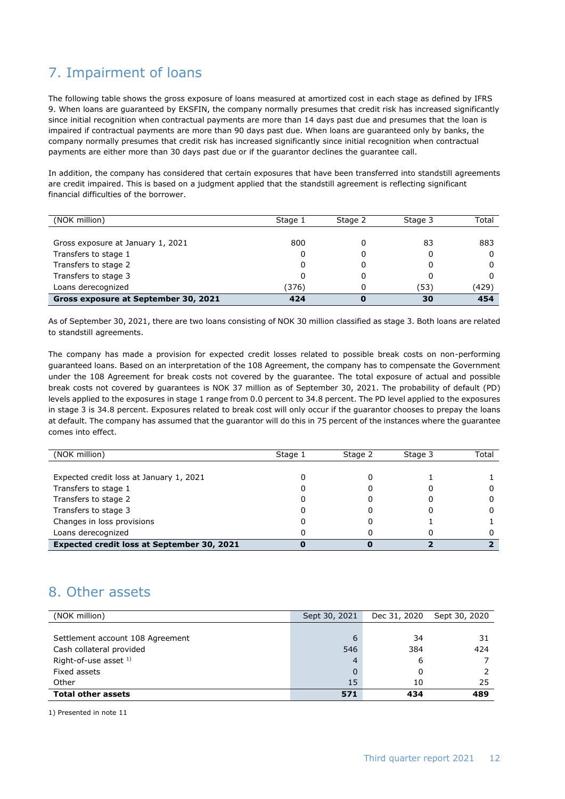# 7. Impairment of loans

The following table shows the gross exposure of loans measured at amortized cost in each stage as defined by IFRS 9. When loans are guaranteed by EKSFIN, the company normally presumes that credit risk has increased significantly since initial recognition when contractual payments are more than 14 days past due and presumes that the loan is impaired if contractual payments are more than 90 days past due. When loans are guaranteed only by banks, the company normally presumes that credit risk has increased significantly since initial recognition when contractual payments are either more than 30 days past due or if the guarantor declines the guarantee call.

In addition, the company has considered that certain exposures that have been transferred into standstill agreements are credit impaired. This is based on a judgment applied that the standstill agreement is reflecting significant financial difficulties of the borrower.

| (NOK million)                        | Stage 1 | Stage 2 | Stage 3 | Total |
|--------------------------------------|---------|---------|---------|-------|
|                                      |         |         |         |       |
| Gross exposure at January 1, 2021    | 800     |         | 83      | 883   |
| Transfers to stage 1                 | 0       |         |         |       |
| Transfers to stage 2                 | 0       |         |         |       |
| Transfers to stage 3                 |         |         |         |       |
| Loans derecognized                   | (376)   | 0       | (53)    | (429) |
| Gross exposure at September 30, 2021 | 424     |         | 30      | 454   |

As of September 30, 2021, there are two loans consisting of NOK 30 million classified as stage 3. Both loans are related to standstill agreements.

The company has made a provision for expected credit losses related to possible break costs on non-performing guaranteed loans. Based on an interpretation of the 108 Agreement, the company has to compensate the Government under the 108 Agreement for break costs not covered by the guarantee. The total exposure of actual and possible break costs not covered by guarantees is NOK 37 million as of September 30, 2021. The probability of default (PD) levels applied to the exposures in stage 1 range from 0.0 percent to 34.8 percent. The PD level applied to the exposures in stage 3 is 34.8 percent. Exposures related to break cost will only occur if the guarantor chooses to prepay the loans at default. The company has assumed that the guarantor will do this in 75 percent of the instances where the guarantee comes into effect.

| (NOK million)                              | Stage 1 | Stage 2 | Stage 3 | Total |
|--------------------------------------------|---------|---------|---------|-------|
|                                            |         |         |         |       |
| Expected credit loss at January 1, 2021    |         |         |         |       |
| Transfers to stage 1                       |         |         |         |       |
| Transfers to stage 2                       |         |         |         |       |
| Transfers to stage 3                       |         |         |         |       |
| Changes in loss provisions                 |         |         |         |       |
| Loans derecognized                         |         |         |         |       |
| Expected credit loss at September 30, 2021 |         |         |         |       |

### 8. Other assets

| (NOK million)                    | Sept 30, 2021 | Dec 31, 2020 | Sept 30, 2020 |
|----------------------------------|---------------|--------------|---------------|
|                                  |               |              |               |
| Settlement account 108 Agreement | 6             | 34           | 31            |
| Cash collateral provided         | 546           | 384          | 424           |
| Right-of-use asset $1$ )         |               | 6            |               |
| Fixed assets                     |               |              |               |
| Other                            | 15            | 10           | 25            |
| <b>Total other assets</b>        | 571           | 434          | 489           |

1) Presented in note 11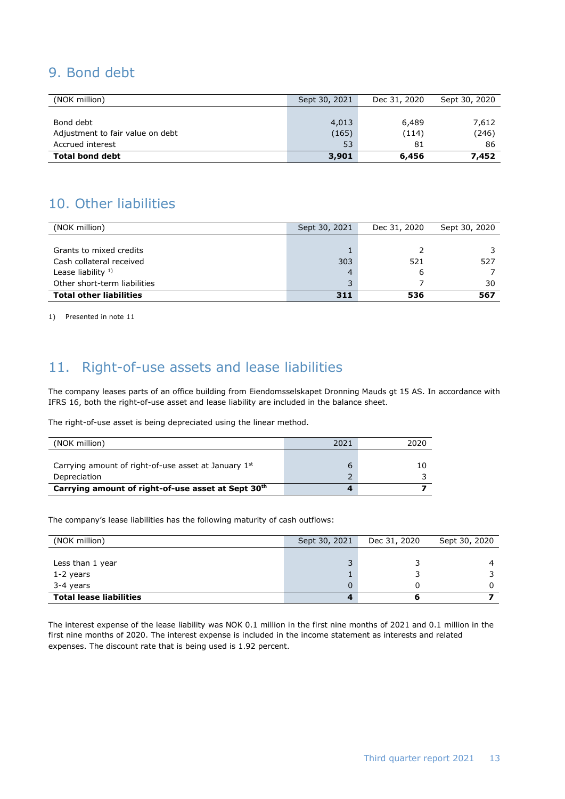### 9. Bond debt

| (NOK million)                    | Sept 30, 2021 | Dec 31, 2020 | Sept 30, 2020 |
|----------------------------------|---------------|--------------|---------------|
|                                  |               |              |               |
| Bond debt                        | 4,013         | 6,489        | 7,612         |
| Adjustment to fair value on debt | (165)         | (114)        | (246)         |
| Accrued interest                 | 53            | 81           | 86            |
| <b>Total bond debt</b>           | 3,901         | 6,456        | 7,452         |

# 10. Other liabilities

| (NOK million)                  | Sept 30, 2021 | Dec 31, 2020 | Sept 30, 2020 |
|--------------------------------|---------------|--------------|---------------|
|                                |               |              |               |
| Grants to mixed credits        |               |              |               |
| Cash collateral received       | 303           | 521          | 527           |
| Lease liability $1$ )          |               | ь            |               |
| Other short-term liabilities   | 3             |              | 30            |
| <b>Total other liabilities</b> | 311           | 536          | 567           |

1) Presented in note 11

# 11. Right-of-use assets and lease liabilities

The company leases parts of an office building from Eiendomsselskapet Dronning Mauds gt 15 AS. In accordance with IFRS 16, both the right-of-use asset and lease liability are included in the balance sheet.

The right-of-use asset is being depreciated using the linear method.

| (NOK million)                                          | 2021 | 2020 |
|--------------------------------------------------------|------|------|
|                                                        |      |      |
| Carrying amount of right-of-use asset at January $1st$ |      |      |
| Depreciation                                           |      |      |
| Carrying amount of right-of-use asset at Sept 30th     |      |      |

The company's lease liabilities has the following maturity of cash outflows:

| (NOK million)                  | Sept 30, 2021 | Dec 31, 2020 | Sept 30, 2020 |
|--------------------------------|---------------|--------------|---------------|
|                                |               |              |               |
| Less than 1 year               |               |              |               |
| $1-2$ years                    |               |              |               |
| 3-4 years                      |               |              |               |
| <b>Total lease liabilities</b> |               |              |               |

The interest expense of the lease liability was NOK 0.1 million in the first nine months of 2021 and 0.1 million in the first nine months of 2020. The interest expense is included in the income statement as interests and related expenses. The discount rate that is being used is 1.92 percent.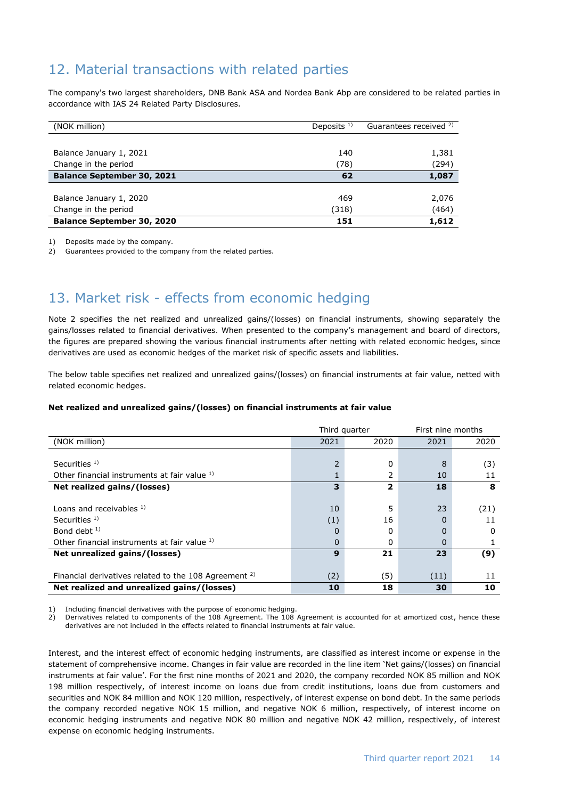# 12. Material transactions with related parties

The company's two largest shareholders, DNB Bank ASA and Nordea Bank Abp are considered to be related parties in accordance with IAS 24 Related Party Disclosures.

| (NOK million)                     | Deposits $1$ ) | Guarantees received <sup>2)</sup> |
|-----------------------------------|----------------|-----------------------------------|
|                                   |                |                                   |
| Balance January 1, 2021           | 140            | 1,381                             |
| Change in the period              | (78)           | (294)                             |
| <b>Balance September 30, 2021</b> | 62             | 1,087                             |
|                                   |                |                                   |
| Balance January 1, 2020           | 469            | 2,076                             |
| Change in the period              | (318)          | (464)                             |
| <b>Balance September 30, 2020</b> | 151            | 1,612                             |

1) Deposits made by the company.

2) Guarantees provided to the company from the related parties.

### 13. Market risk - effects from economic hedging

Note 2 specifies the net realized and unrealized gains/(losses) on financial instruments, showing separately the gains/losses related to financial derivatives. When presented to the company's management and board of directors, the figures are prepared showing the various financial instruments after netting with related economic hedges, since derivatives are used as economic hedges of the market risk of specific assets and liabilities.

The below table specifies net realized and unrealized gains/(losses) on financial instruments at fair value, netted with related economic hedges.

#### **Net realized and unrealized gains/(losses) on financial instruments at fair value**

|                                                                  |      | Third quarter           | First nine months |      |  |
|------------------------------------------------------------------|------|-------------------------|-------------------|------|--|
| (NOK million)                                                    | 2021 | 2020                    | 2021              | 2020 |  |
|                                                                  |      |                         |                   |      |  |
| Securities $1$ )                                                 |      | 0                       | 8                 | (3)  |  |
| Other financial instruments at fair value 1)                     |      | 2                       | 10                | 11   |  |
| Net realized gains/(losses)                                      | 3    | $\overline{\mathbf{c}}$ | 18                | 8    |  |
|                                                                  |      |                         |                   |      |  |
| Loans and receivables $1$ )                                      | 10   | 5                       | 23                | (21) |  |
| Securities $1$ )                                                 | (1)  | 16                      | O                 | 11   |  |
| Bond debt $1$ )                                                  |      | 0                       |                   | 0    |  |
| Other financial instruments at fair value 1)                     | 0    | 0                       | O                 |      |  |
| Net unrealized gains/(losses)                                    | 9    | 21                      | 23                | (9)  |  |
|                                                                  |      |                         |                   |      |  |
| Financial derivatives related to the 108 Agreement <sup>2)</sup> | (2)  | (5)                     | (11)              | 11   |  |
| Net realized and unrealized gains/(losses)                       | 10   | 18                      | 30                | 10   |  |

1) Including financial derivatives with the purpose of economic hedging.<br>2) Derivatives related to components of the 108 Agreement. The 108

2) Derivatives related to components of the 108 Agreement. The 108 Agreement is accounted for at amortized cost, hence these derivatives are not included in the effects related to financial instruments at fair value.

Interest, and the interest effect of economic hedging instruments, are classified as interest income or expense in the statement of comprehensive income. Changes in fair value are recorded in the line item 'Net gains/(losses) on financial instruments at fair value'. For the first nine months of 2021 and 2020, the company recorded NOK 85 million and NOK 198 million respectively, of interest income on loans due from credit institutions, loans due from customers and securities and NOK 84 million and NOK 120 million, respectively, of interest expense on bond debt. In the same periods the company recorded negative NOK 15 million, and negative NOK 6 million, respectively, of interest income on economic hedging instruments and negative NOK 80 million and negative NOK 42 million, respectively, of interest expense on economic hedging instruments.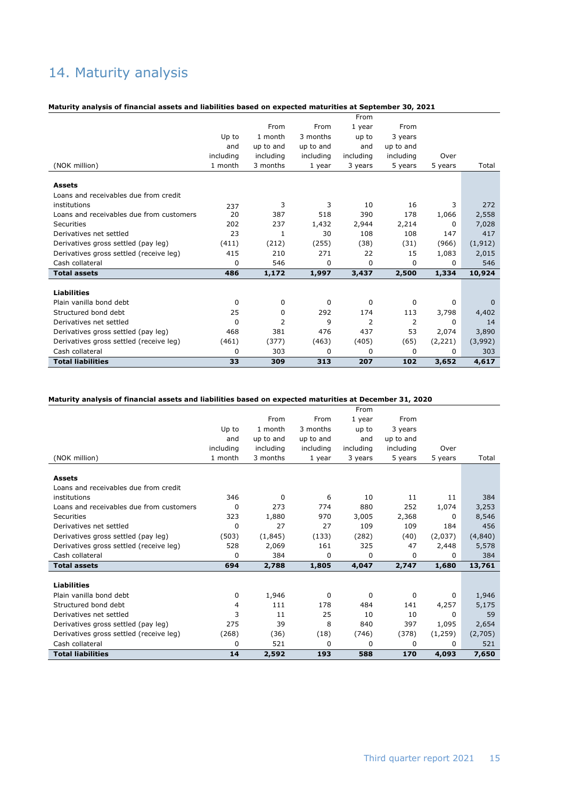# 14. Maturity analysis

#### **Maturity analysis of financial assets and liabilities based on expected maturities at September 30, 2021**

|                                          |           |                |             | From      |           |         |          |
|------------------------------------------|-----------|----------------|-------------|-----------|-----------|---------|----------|
|                                          |           | From           | From        | 1 year    | From      |         |          |
|                                          | Up to     | 1 month        | 3 months    | up to     | 3 years   |         |          |
|                                          | and       | up to and      | up to and   | and       | up to and |         |          |
|                                          | including | including      | including   | including | including | Over    |          |
| (NOK million)                            | 1 month   | 3 months       | 1 year      | 3 years   | 5 years   | 5 years | Total    |
| <b>Assets</b>                            |           |                |             |           |           |         |          |
| Loans and receivables due from credit    |           |                |             |           |           |         |          |
| institutions                             | 237       | 3              | 3           | 10        | 16        | 3       | 272      |
| Loans and receivables due from customers | 20        | 387            | 518         | 390       | 178       | 1,066   | 2,558    |
| Securities                               | 202       | 237            | 1,432       | 2,944     | 2,214     | 0       | 7,028    |
| Derivatives net settled                  | 23        | $\mathbf{1}$   | 30          | 108       | 108       | 147     | 417      |
| Derivatives gross settled (pay leg)      | (411)     | (212)          | (255)       | (38)      | (31)      | (966)   | (1, 912) |
| Derivatives gross settled (receive leg)  | 415       | 210            | 271         | 22        | 15        | 1,083   | 2,015    |
| Cash collateral                          | 0         | 546            | 0           | 0         | 0         | 0       | 546      |
| <b>Total assets</b>                      | 486       | 1,172          | 1,997       | 3,437     | 2,500     | 1,334   | 10,924   |
| <b>Liabilities</b>                       |           |                |             |           |           |         |          |
| Plain vanilla bond debt                  | 0         | 0              | $\mathbf 0$ | 0         | 0         | 0       | $\Omega$ |
| Structured bond debt                     | 25        | 0              | 292         | 174       | 113       | 3,798   | 4,402    |
| Derivatives net settled                  | $\Omega$  | $\overline{2}$ | 9           | 2         | 2         | 0       | 14       |
| Derivatives gross settled (pay leg)      | 468       | 381            | 476         | 437       | 53        | 2,074   | 3,890    |
| Derivatives gross settled (receive leg)  | (461)     | (377)          | (463)       | (405)     | (65)      | (2,221) | (3,992)  |
| Cash collateral                          | 0         | 303            | 0           | 0         | 0         | 0       | 303      |
| <b>Total liabilities</b>                 | 33        | 309            | 313         | 207       | 102       | 3,652   | 4,617    |

#### **Maturity analysis of financial assets and liabilities based on expected maturities at December 31, 2020**

|                                          |           |           |           | From      |           |         |         |
|------------------------------------------|-----------|-----------|-----------|-----------|-----------|---------|---------|
|                                          |           | From      | From      | 1 year    | From      |         |         |
|                                          | Up to     | 1 month   | 3 months  | up to     | 3 years   |         |         |
|                                          | and       | up to and | up to and | and       | up to and |         |         |
|                                          | including | including | including | including | including | Over    |         |
| (NOK million)                            | 1 month   | 3 months  | 1 year    | 3 years   | 5 years   | 5 years | Total   |
| <b>Assets</b>                            |           |           |           |           |           |         |         |
| Loans and receivables due from credit    |           |           |           |           |           |         |         |
| institutions                             | 346       | 0         | 6         | 10        | 11        | 11      | 384     |
| Loans and receivables due from customers | 0         | 273       | 774       | 880       | 252       | 1,074   | 3,253   |
| Securities                               | 323       | 1,880     | 970       | 3,005     | 2,368     | 0       | 8,546   |
| Derivatives net settled                  | 0         | 27        | 27        | 109       | 109       | 184     | 456     |
| Derivatives gross settled (pay leg)      | (503)     | (1,845)   | (133)     | (282)     | (40)      | (2,037) | (4,840) |
| Derivatives gross settled (receive leg)  | 528       | 2,069     | 161       | 325       | 47        | 2,448   | 5,578   |
| Cash collateral                          | 0         | 384       | 0         | 0         | 0         | 0       | 384     |
| <b>Total assets</b>                      | 694       | 2,788     | 1,805     | 4,047     | 2,747     | 1,680   | 13,761  |
| <b>Liabilities</b>                       |           |           |           |           |           |         |         |
| Plain vanilla bond debt                  | 0         | 1,946     | 0         | 0         | 0         | 0       | 1,946   |
| Structured bond debt                     | 4         | 111       | 178       | 484       | 141       | 4,257   | 5,175   |
| Derivatives net settled                  | 3         | 11        | 25        | 10        | 10        | 0       | 59      |
| Derivatives gross settled (pay leg)      | 275       | 39        | 8         | 840       | 397       | 1,095   | 2,654   |
| Derivatives gross settled (receive leg)  | (268)     | (36)      | (18)      | (746)     | (378)     | (1,259) | (2,705) |
| Cash collateral                          | 0         | 521       | 0         | 0         | 0         | 0       | 521     |
| <b>Total liabilities</b>                 | 14        | 2,592     | 193       | 588       | 170       | 4,093   | 7,650   |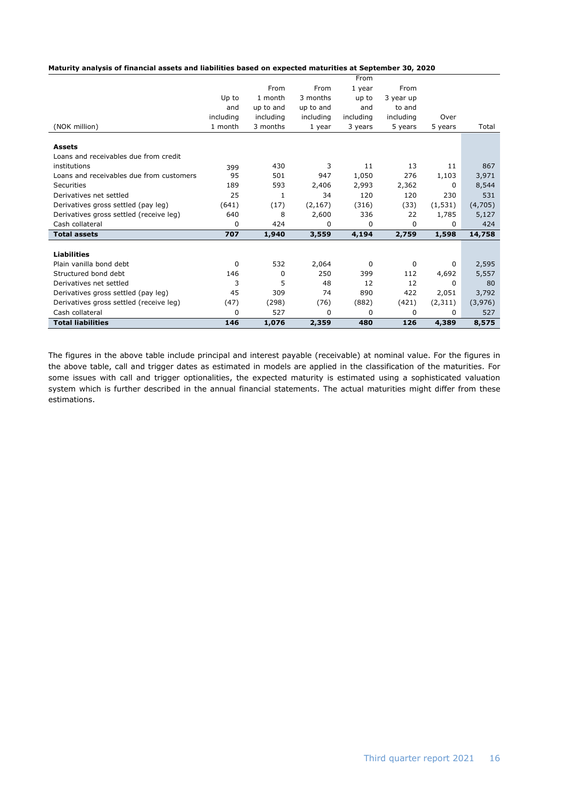| Maturity analysis of financial assets and liabilities based on expected maturities at September 30, 2020 |  |
|----------------------------------------------------------------------------------------------------------|--|
|----------------------------------------------------------------------------------------------------------|--|

|                                          |           |           |           | From      |           |          |         |
|------------------------------------------|-----------|-----------|-----------|-----------|-----------|----------|---------|
|                                          |           | From      | From      | 1 year    | From      |          |         |
|                                          | Up to     | 1 month   | 3 months  | up to     | 3 year up |          |         |
|                                          | and       | up to and | up to and | and       | to and    |          |         |
|                                          | including | including | including | including | including | Over     |         |
| (NOK million)                            | 1 month   | 3 months  | 1 year    | 3 years   | 5 years   | 5 years  | Total   |
| <b>Assets</b>                            |           |           |           |           |           |          |         |
| Loans and receivables due from credit    |           |           |           |           |           |          |         |
| institutions                             | 399       | 430       | 3         | 11        | 13        | 11       | 867     |
| Loans and receivables due from customers | 95        | 501       | 947       | 1,050     | 276       | 1,103    | 3,971   |
| Securities                               | 189       | 593       | 2,406     | 2,993     | 2,362     | 0        | 8,544   |
| Derivatives net settled                  | 25        | 1         | 34        | 120       | 120       | 230      | 531     |
| Derivatives gross settled (pay leg)      | (641)     | (17)      | (2, 167)  | (316)     | (33)      | (1, 531) | (4,705) |
| Derivatives gross settled (receive leg)  | 640       | 8         | 2,600     | 336       | 22        | 1,785    | 5,127   |
| Cash collateral                          | 0         | 424       | 0         | 0         | $\Omega$  | 0        | 424     |
| <b>Total assets</b>                      | 707       | 1,940     | 3,559     | 4,194     | 2,759     | 1,598    | 14,758  |
| <b>Liabilities</b>                       |           |           |           |           |           |          |         |
| Plain vanilla bond debt                  | 0         | 532       | 2,064     | 0         | 0         | 0        | 2,595   |
| Structured bond debt                     | 146       | 0         | 250       | 399       | 112       | 4,692    | 5,557   |
| Derivatives net settled                  | 3         | 5         | 48        | 12        | 12        | 0        | 80      |
| Derivatives gross settled (pay leg)      | 45        | 309       | 74        | 890       | 422       | 2,051    | 3,792   |
| Derivatives gross settled (receive leg)  | (47)      | (298)     | (76)      | (882)     | (421)     | (2,311)  | (3,976) |
| Cash collateral                          | 0         | 527       | 0         | 0         | 0         | 0        | 527     |
| <b>Total liabilities</b>                 | 146       | 1,076     | 2,359     | 480       | 126       | 4,389    | 8,575   |

The figures in the above table include principal and interest payable (receivable) at nominal value. For the figures in the above table, call and trigger dates as estimated in models are applied in the classification of the maturities. For some issues with call and trigger optionalities, the expected maturity is estimated using a sophisticated valuation system which is further described in the annual financial statements. The actual maturities might differ from these estimations.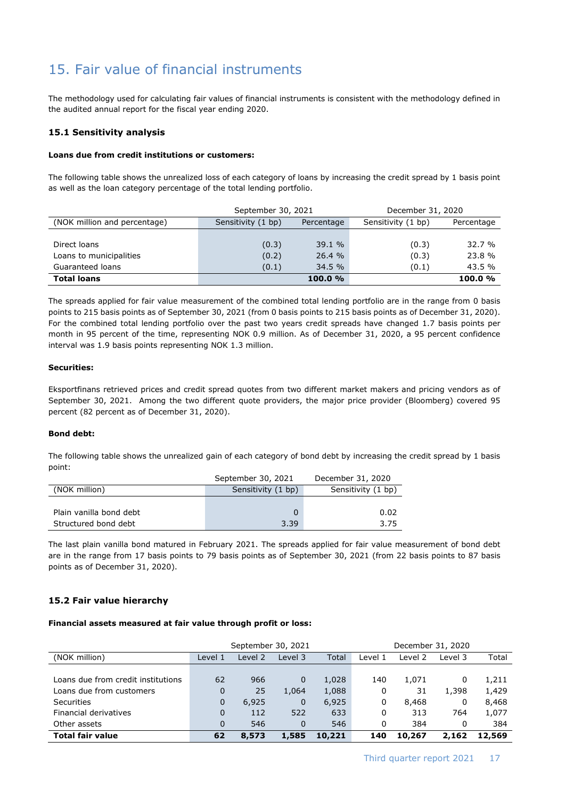# 15. Fair value of financial instruments

The methodology used for calculating fair values of financial instruments is consistent with the methodology defined in the audited annual report for the fiscal year ending 2020.

#### **15.1 Sensitivity analysis**

#### **Loans due from credit institutions or customers:**

The following table shows the unrealized loss of each category of loans by increasing the credit spread by 1 basis point as well as the loan category percentage of the total lending portfolio.

|                              | September 30, 2021 |            | December 31, 2020  |            |  |  |
|------------------------------|--------------------|------------|--------------------|------------|--|--|
| (NOK million and percentage) | Sensitivity (1 bp) | Percentage | Sensitivity (1 bp) | Percentage |  |  |
|                              |                    |            |                    |            |  |  |
| Direct loans                 | (0.3)              | 39.1 %     | (0.3)              | 32.7 %     |  |  |
| Loans to municipalities      | (0.2)              | 26.4 %     | (0.3)              | 23.8 %     |  |  |
| Guaranteed loans             | (0.1)              | 34.5 %     | (0.1)              | 43.5 %     |  |  |
| <b>Total loans</b>           |                    | 100.0%     |                    | 100.0%     |  |  |

The spreads applied for fair value measurement of the combined total lending portfolio are in the range from 0 basis points to 215 basis points as of September 30, 2021 (from 0 basis points to 215 basis points as of December 31, 2020). For the combined total lending portfolio over the past two years credit spreads have changed 1.7 basis points per month in 95 percent of the time, representing NOK 0.9 million. As of December 31, 2020, a 95 percent confidence interval was 1.9 basis points representing NOK 1.3 million.

#### **Securities:**

Eksportfinans retrieved prices and credit spread quotes from two different market makers and pricing vendors as of September 30, 2021. Among the two different quote providers, the major price provider (Bloomberg) covered 95 percent (82 percent as of December 31, 2020).

#### **Bond debt:**

The following table shows the unrealized gain of each category of bond debt by increasing the credit spread by 1 basis point:

|                         | September 30, 2021 | December 31, 2020  |
|-------------------------|--------------------|--------------------|
| (NOK million)           | Sensitivity (1 bp) | Sensitivity (1 bp) |
|                         |                    |                    |
| Plain vanilla bond debt | 0                  | 0.02               |
| Structured bond debt    | 3.39               | 3.75               |

The last plain vanilla bond matured in February 2021. The spreads applied for fair value measurement of bond debt are in the range from 17 basis points to 79 basis points as of September 30, 2021 (from 22 basis points to 87 basis points as of December 31, 2020).

#### **15.2 Fair value hierarchy**

#### **Financial assets measured at fair value through profit or loss:**

|                                    | September 30, 2021<br>December 31, 2020 |         |             |        |         |         |         |        |
|------------------------------------|-----------------------------------------|---------|-------------|--------|---------|---------|---------|--------|
| (NOK million)                      | Level 1                                 | Level 2 | Level 3     | Total  | Level 1 | Level 2 | Level 3 | Total  |
|                                    |                                         |         |             |        |         |         |         |        |
| Loans due from credit institutions | 62                                      | 966     | 0           | 1,028  | 140     | 1,071   | 0       | 1,211  |
| Loans due from customers           | 0                                       | 25      | 1,064       | 1,088  | 0       | 31      | 1,398   | 1,429  |
| <b>Securities</b>                  | 0                                       | 6,925   | $\mathbf 0$ | 6,925  | 0       | 8,468   | 0       | 8,468  |
| Financial derivatives              | $\Omega$                                | 112     | 522         | 633    | 0       | 313     | 764     | 1,077  |
| Other assets                       | 0                                       | 546     | 0           | 546    | 0       | 384     |         | 384    |
| <b>Total fair value</b>            | 62                                      | 8,573   | 1,585       | 10,221 | 140     | 10,267  | 2,162   | 12,569 |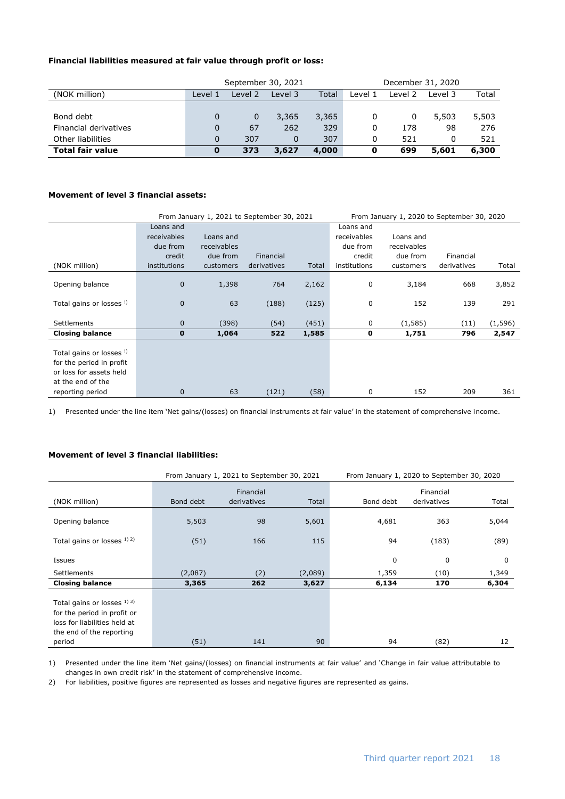#### **Financial liabilities measured at fair value through profit or loss:**

|                         | September 30, 2021 |         |         |       |         | December 31, 2020 |         |       |
|-------------------------|--------------------|---------|---------|-------|---------|-------------------|---------|-------|
| (NOK million)           | Level 1            | Level 2 | Level 3 | Total | Level 1 | Level 2           | Level 3 | Total |
|                         |                    |         |         |       |         |                   |         |       |
| Bond debt               |                    | 0       | 3,365   | 3,365 | 0       | 0                 | 5,503   | 5,503 |
| Financial derivatives   | 0                  | 67      | 262     | 329   | 0       | 178               | 98      | 276   |
| Other liabilities       |                    | 307     |         | 307   | 0       | 521               |         | 521   |
| <b>Total fair value</b> | 0                  | 373     | 3,627   | 4,000 | 0       | 699               | 5,601   | 6,300 |

#### **Movement of level 3 financial assets:**

|                                                                                                                 |              | From January 1, 2021 to September 30, 2021 |             | From January 1, 2020 to September 30, 2020 |              |             |             |          |
|-----------------------------------------------------------------------------------------------------------------|--------------|--------------------------------------------|-------------|--------------------------------------------|--------------|-------------|-------------|----------|
|                                                                                                                 | Loans and    |                                            |             |                                            | Loans and    |             |             |          |
|                                                                                                                 | receivables  | Loans and                                  |             |                                            | receivables  | Loans and   |             |          |
|                                                                                                                 | due from     | receivables                                |             |                                            | due from     | receivables |             |          |
|                                                                                                                 | credit       | due from                                   | Financial   |                                            | credit       | due from    | Financial   |          |
| (NOK million)                                                                                                   | institutions | customers                                  | derivatives | Total                                      | institutions | customers   | derivatives | Total    |
| Opening balance                                                                                                 | $\mathbf 0$  | 1,398                                      | 764         | 2,162                                      | 0            | 3,184       | 668         | 3,852    |
| Total gains or losses <sup>!)</sup>                                                                             | $\mathbf 0$  | 63                                         | (188)       | (125)                                      | 0            | 152         | 139         | 291      |
| Settlements                                                                                                     | 0            | (398)                                      | (54)        | (451)                                      | 0            | (1, 585)    | (11)        | (1, 596) |
| <b>Closing balance</b>                                                                                          | 0            | 1,064                                      | 522         | 1,585                                      | 0            | 1,751       | 796         | 2,547    |
| Total gains or losses <sup>!)</sup><br>for the period in profit<br>or loss for assets held<br>at the end of the |              |                                            |             |                                            |              |             |             |          |
| reporting period                                                                                                | 0            | 63                                         | (121)       | (58)                                       | 0            | 152         | 209         | 361      |

1) Presented under the line item 'Net gains/(losses) on financial instruments at fair value' in the statement of comprehensive income.

#### **Movement of level 3 financial liabilities:**

|           | Financial   |         | Financial                                  |             |                                                    |  |
|-----------|-------------|---------|--------------------------------------------|-------------|----------------------------------------------------|--|
| Bond debt | derivatives | Total   | Bond debt                                  | derivatives | Total                                              |  |
| 5,503     | 98          | 5,601   | 4,681                                      | 363         | 5,044                                              |  |
| (51)      | 166         | 115     | 94                                         | (183)       | (89)                                               |  |
|           |             |         | 0                                          | 0           | 0                                                  |  |
| (2,087)   | (2)         | (2,089) | 1,359                                      | (10)        | 1,349                                              |  |
| 3,365     | 262         | 3,627   | 6,134                                      | 170         | 6,304                                              |  |
|           |             | 90      | 94                                         |             | 12                                                 |  |
|           | (51)        | 141     | From January 1, 2021 to September 30, 2021 |             | From January 1, 2020 to September 30, 2020<br>(82) |  |

1) Presented under the line item 'Net gains/(losses) on financial instruments at fair value' and 'Change in fair value attributable to changes in own credit risk' in the statement of comprehensive income.

2) For liabilities, positive figures are represented as losses and negative figures are represented as gains.